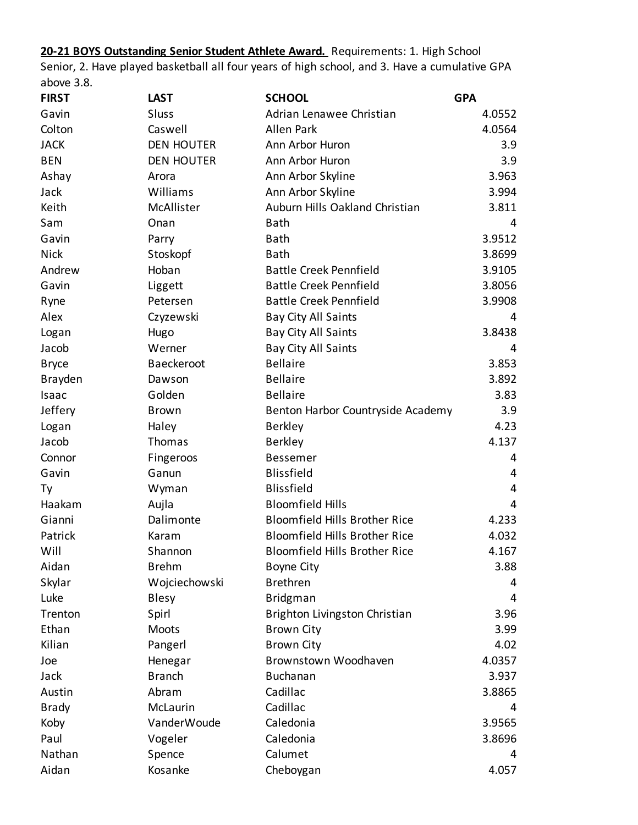**20-21 BOYS Outstanding Senior Student Athlete Award.** Requirements: 1. High School Senior, 2. Have played basketball all four years of high school, and 3. Have a cumulative GPA above 3.8.

| <b>FIRST</b>   | <b>LAST</b>       | <b>SCHOOL</b>                        | <b>GPA</b> |
|----------------|-------------------|--------------------------------------|------------|
| Gavin          | Sluss             | Adrian Lenawee Christian             | 4.0552     |
| Colton         | Caswell           | <b>Allen Park</b>                    | 4.0564     |
| <b>JACK</b>    | <b>DEN HOUTER</b> | Ann Arbor Huron                      | 3.9        |
| <b>BEN</b>     | <b>DEN HOUTER</b> | Ann Arbor Huron                      | 3.9        |
| Ashay          | Arora             | Ann Arbor Skyline                    | 3.963      |
| Jack           | Williams          | Ann Arbor Skyline                    | 3.994      |
| Keith          | McAllister        | Auburn Hills Oakland Christian       | 3.811      |
| Sam            | Onan              | <b>Bath</b>                          | 4          |
| Gavin          | Parry             | <b>Bath</b>                          | 3.9512     |
| <b>Nick</b>    | Stoskopf          | <b>Bath</b>                          | 3.8699     |
| Andrew         | Hoban             | <b>Battle Creek Pennfield</b>        | 3.9105     |
| Gavin          | Liggett           | <b>Battle Creek Pennfield</b>        | 3.8056     |
| Ryne           | Petersen          | <b>Battle Creek Pennfield</b>        | 3.9908     |
| Alex           | Czyzewski         | Bay City All Saints                  | 4          |
| Logan          | Hugo              | Bay City All Saints                  | 3.8438     |
| Jacob          | Werner            | Bay City All Saints                  | 4          |
| <b>Bryce</b>   | Baeckeroot        | <b>Bellaire</b>                      | 3.853      |
| <b>Brayden</b> | Dawson            | <b>Bellaire</b>                      | 3.892      |
| Isaac          | Golden            | <b>Bellaire</b>                      | 3.83       |
| Jeffery        | <b>Brown</b>      | Benton Harbor Countryside Academy    | 3.9        |
| Logan          | Haley             | <b>Berkley</b>                       | 4.23       |
| Jacob          | Thomas            | <b>Berkley</b>                       | 4.137      |
| Connor         | Fingeroos         | <b>Bessemer</b>                      | 4          |
| Gavin          | Ganun             | <b>Blissfield</b>                    | 4          |
| Тy             | Wyman             | <b>Blissfield</b>                    | 4          |
| Haakam         | Aujla             | <b>Bloomfield Hills</b>              | 4          |
| Gianni         | Dalimonte         | <b>Bloomfield Hills Brother Rice</b> | 4.233      |
| Patrick        | Karam             | <b>Bloomfield Hills Brother Rice</b> | 4.032      |
| Will           | Shannon           | <b>Bloomfield Hills Brother Rice</b> | 4.167      |
| Aidan          | <b>Brehm</b>      | <b>Boyne City</b>                    | 3.88       |
| Skylar         | Wojciechowski     | <b>Brethren</b>                      | 4          |
| Luke           | <b>Blesy</b>      | <b>Bridgman</b>                      | 4          |
| Trenton        | Spirl             | Brighton Livingston Christian        | 3.96       |
| Ethan          | Moots             | <b>Brown City</b>                    | 3.99       |
| Kilian         | Pangerl           | <b>Brown City</b>                    | 4.02       |
| Joe            | Henegar           | Brownstown Woodhaven                 | 4.0357     |
| Jack           | <b>Branch</b>     | <b>Buchanan</b>                      | 3.937      |
| Austin         | Abram             | Cadillac                             | 3.8865     |
| <b>Brady</b>   | McLaurin          | Cadillac                             | 4          |
| Koby           | VanderWoude       | Caledonia                            | 3.9565     |
| Paul           | Vogeler           | Caledonia                            | 3.8696     |
| Nathan         | Spence            | Calumet                              | 4          |
| Aidan          | Kosanke           | Cheboygan                            | 4.057      |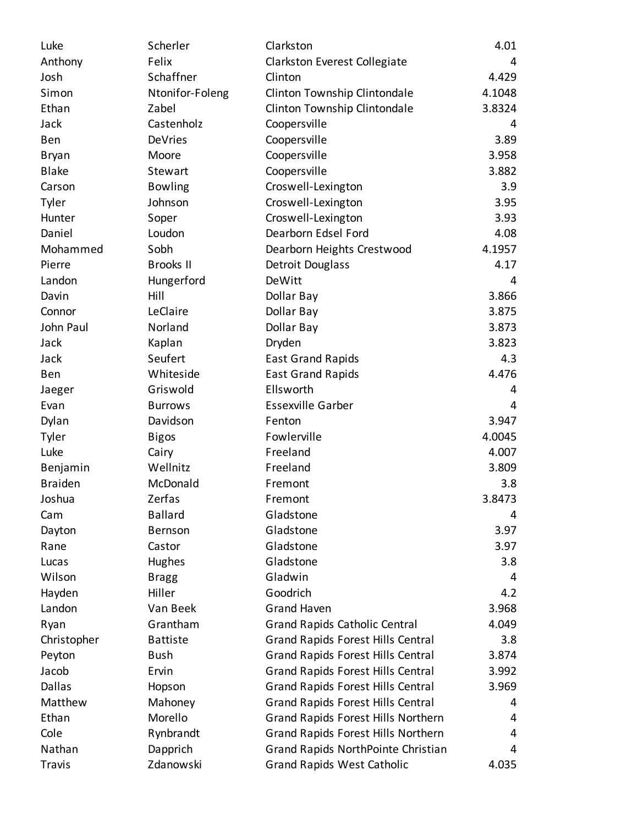| Luke           | Scherler         | Clarkston                                 | 4.01   |
|----------------|------------------|-------------------------------------------|--------|
| Anthony        | Felix            | Clarkston Everest Collegiate              | 4      |
| Josh           | Schaffner        | Clinton                                   | 4.429  |
| Simon          | Ntonifor-Foleng  | Clinton Township Clintondale              | 4.1048 |
| Ethan          | Zabel            | Clinton Township Clintondale              | 3.8324 |
| Jack           | Castenholz       | Coopersville                              | 4      |
| Ben            | DeVries          | Coopersville                              | 3.89   |
| <b>Bryan</b>   | Moore            | Coopersville                              | 3.958  |
| <b>Blake</b>   | Stewart          | Coopersville                              | 3.882  |
| Carson         | <b>Bowling</b>   | Croswell-Lexington                        | 3.9    |
| Tyler          | Johnson          | Croswell-Lexington                        | 3.95   |
| Hunter         | Soper            | Croswell-Lexington                        | 3.93   |
| Daniel         | Loudon           | Dearborn Edsel Ford                       | 4.08   |
| Mohammed       | Sobh             | Dearborn Heights Crestwood                | 4.1957 |
| Pierre         | <b>Brooks II</b> | Detroit Douglass                          | 4.17   |
| Landon         | Hungerford       | <b>DeWitt</b>                             | 4      |
| Davin          | Hill             | Dollar Bay                                | 3.866  |
| Connor         | LeClaire         | Dollar Bay                                | 3.875  |
| John Paul      | Norland          | Dollar Bay                                | 3.873  |
| Jack           | Kaplan           | Dryden                                    | 3.823  |
| Jack           | Seufert          | <b>East Grand Rapids</b>                  | 4.3    |
| Ben            | Whiteside        | <b>East Grand Rapids</b>                  | 4.476  |
| Jaeger         | Griswold         | Ellsworth                                 | 4      |
| Evan           | <b>Burrows</b>   | <b>Essexville Garber</b>                  | 4      |
| Dylan          | Davidson         | Fenton                                    | 3.947  |
| Tyler          | <b>Bigos</b>     | Fowlerville                               | 4.0045 |
| Luke           | Cairy            | Freeland                                  | 4.007  |
| Benjamin       | Wellnitz         | Freeland                                  | 3.809  |
| <b>Braiden</b> | McDonald         | Fremont                                   | 3.8    |
| Joshua         | Zerfas           | Fremont                                   | 3.8473 |
| Cam            | <b>Ballard</b>   | Gladstone                                 | 4      |
| Dayton         | Bernson          | Gladstone                                 | 3.97   |
| Rane           | Castor           | Gladstone                                 | 3.97   |
| Lucas          | Hughes           | Gladstone                                 | 3.8    |
| Wilson         | <b>Bragg</b>     | Gladwin                                   | 4      |
| Hayden         | Hiller           | Goodrich                                  | 4.2    |
| Landon         | Van Beek         | <b>Grand Haven</b>                        | 3.968  |
| Ryan           | Grantham         | <b>Grand Rapids Catholic Central</b>      | 4.049  |
| Christopher    | <b>Battiste</b>  | <b>Grand Rapids Forest Hills Central</b>  | 3.8    |
| Peyton         | <b>Bush</b>      | <b>Grand Rapids Forest Hills Central</b>  | 3.874  |
| Jacob          | Ervin            | <b>Grand Rapids Forest Hills Central</b>  | 3.992  |
| <b>Dallas</b>  | Hopson           | <b>Grand Rapids Forest Hills Central</b>  | 3.969  |
| Matthew        | Mahoney          | <b>Grand Rapids Forest Hills Central</b>  | 4      |
| Ethan          | Morello          | Grand Rapids Forest Hills Northern        | 4      |
| Cole           | Rynbrandt        | <b>Grand Rapids Forest Hills Northern</b> | 4      |
| Nathan         | Dapprich         | Grand Rapids NorthPointe Christian        | 4      |
| Travis         | Zdanowski        | <b>Grand Rapids West Catholic</b>         | 4.035  |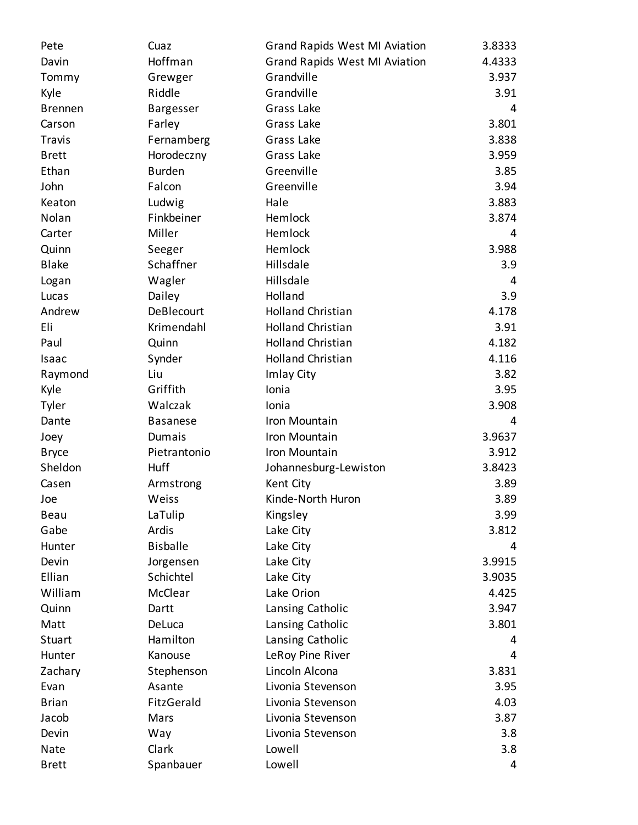| Pete           | Cuaz             | <b>Grand Rapids West MI Aviation</b> | 3.8333 |
|----------------|------------------|--------------------------------------|--------|
| Davin          | Hoffman          | <b>Grand Rapids West MI Aviation</b> | 4.4333 |
| Tommy          | Grewger          | Grandville                           | 3.937  |
| Kyle           | Riddle           | Grandville                           | 3.91   |
| <b>Brennen</b> | <b>Bargesser</b> | Grass Lake                           | 4      |
| Carson         | Farley           | Grass Lake                           | 3.801  |
| <b>Travis</b>  | Fernamberg       | Grass Lake                           | 3.838  |
| <b>Brett</b>   | Horodeczny       | Grass Lake                           | 3.959  |
| Ethan          | <b>Burden</b>    | Greenville                           | 3.85   |
| John           | Falcon           | Greenville                           | 3.94   |
| Keaton         | Ludwig           | Hale                                 | 3.883  |
| Nolan          | Finkbeiner       | Hemlock                              | 3.874  |
| Carter         | Miller           | Hemlock                              | 4      |
| Quinn          | Seeger           | Hemlock                              | 3.988  |
| <b>Blake</b>   | Schaffner        | Hillsdale                            | 3.9    |
| Logan          | Wagler           | Hillsdale                            | 4      |
| Lucas          | Dailey           | Holland                              | 3.9    |
| Andrew         | DeBlecourt       | <b>Holland Christian</b>             | 4.178  |
| Eli            | Krimendahl       | <b>Holland Christian</b>             | 3.91   |
| Paul           | Quinn            | <b>Holland Christian</b>             | 4.182  |
| Isaac          | Synder           | <b>Holland Christian</b>             | 4.116  |
| Raymond        | Liu              | Imlay City                           | 3.82   |
| Kyle           | Griffith         | Ionia                                | 3.95   |
| Tyler          | Walczak          | Ionia                                | 3.908  |
| Dante          | <b>Basanese</b>  | Iron Mountain                        | 4      |
| Joey           | Dumais           | Iron Mountain                        | 3.9637 |
| <b>Bryce</b>   | Pietrantonio     | Iron Mountain                        | 3.912  |
| Sheldon        | Huff             | Johannesburg-Lewiston                | 3.8423 |
| Casen          | Armstrong        | Kent City                            | 3.89   |
| Joe            | Weiss            | Kinde-North Huron                    | 3.89   |
| Beau           | LaTulip          | Kingsley                             | 3.99   |
| Gabe           | Ardis            | Lake City                            | 3.812  |
| Hunter         | <b>Bisballe</b>  | Lake City                            | 4      |
| Devin          | Jorgensen        | Lake City                            | 3.9915 |
| Ellian         | Schichtel        | Lake City                            | 3.9035 |
| William        | McClear          | Lake Orion                           | 4.425  |
| Quinn          | Dartt            | Lansing Catholic                     | 3.947  |
| Matt           | DeLuca           | Lansing Catholic                     | 3.801  |
| Stuart         | Hamilton         | Lansing Catholic                     | 4      |
| Hunter         | Kanouse          | LeRoy Pine River                     | 4      |
| Zachary        | Stephenson       | Lincoln Alcona                       | 3.831  |
| Evan           | Asante           | Livonia Stevenson                    | 3.95   |
| <b>Brian</b>   | FitzGerald       | Livonia Stevenson                    | 4.03   |
| Jacob          | Mars             | Livonia Stevenson                    | 3.87   |
| Devin          | Way              | Livonia Stevenson                    | 3.8    |
| Nate           | Clark            | Lowell                               | 3.8    |
| <b>Brett</b>   | Spanbauer        | Lowell                               | 4      |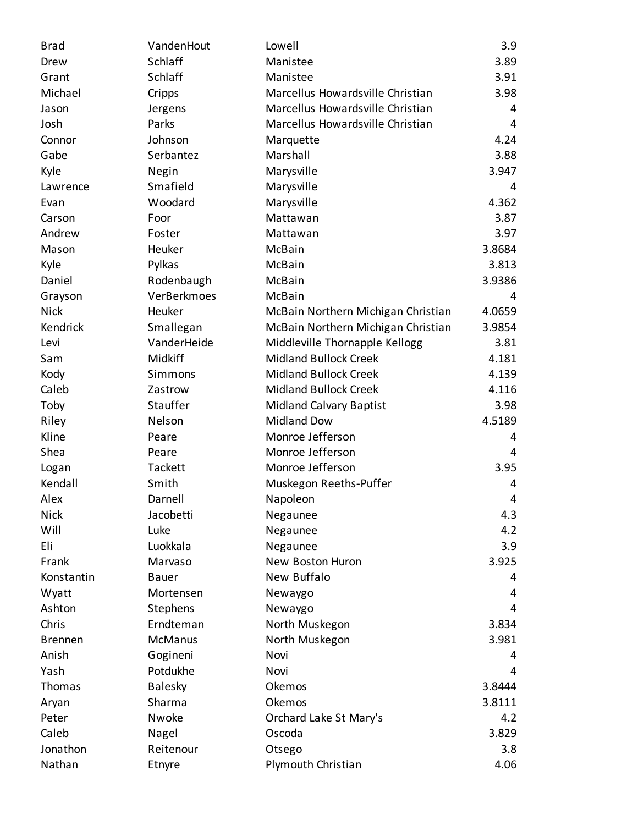| <b>Brad</b>    | VandenHout     | Lowell                             | 3.9    |
|----------------|----------------|------------------------------------|--------|
| Drew           | Schlaff        | Manistee                           | 3.89   |
| Grant          | Schlaff        | Manistee                           | 3.91   |
| Michael        | Cripps         | Marcellus Howardsville Christian   | 3.98   |
| Jason          | Jergens        | Marcellus Howardsville Christian   | 4      |
| Josh           | Parks          | Marcellus Howardsville Christian   | 4      |
| Connor         | Johnson        | Marquette                          | 4.24   |
| Gabe           | Serbantez      | Marshall                           | 3.88   |
| Kyle           | Negin          | Marysville                         | 3.947  |
| Lawrence       | Smafield       | Marysville                         | 4      |
| Evan           | Woodard        | Marysville                         | 4.362  |
| Carson         | Foor           | Mattawan                           | 3.87   |
| Andrew         | Foster         | Mattawan                           | 3.97   |
| Mason          | Heuker         | McBain                             | 3.8684 |
| Kyle           | Pylkas         | McBain                             | 3.813  |
| Daniel         | Rodenbaugh     | McBain                             | 3.9386 |
| Grayson        | VerBerkmoes    | McBain                             | 4      |
| <b>Nick</b>    | Heuker         | McBain Northern Michigan Christian | 4.0659 |
| Kendrick       | Smallegan      | McBain Northern Michigan Christian | 3.9854 |
| Levi           | VanderHeide    | Middleville Thornapple Kellogg     | 3.81   |
| Sam            | Midkiff        | <b>Midland Bullock Creek</b>       | 4.181  |
| Kody           | Simmons        | <b>Midland Bullock Creek</b>       | 4.139  |
| Caleb          | Zastrow        | <b>Midland Bullock Creek</b>       | 4.116  |
| Toby           | Stauffer       | <b>Midland Calvary Baptist</b>     | 3.98   |
| Riley          | Nelson         | <b>Midland Dow</b>                 | 4.5189 |
| Kline          | Peare          | Monroe Jefferson                   | 4      |
| Shea           | Peare          | Monroe Jefferson                   | 4      |
| Logan          | Tackett        | Monroe Jefferson                   | 3.95   |
| Kendall        | Smith          | Muskegon Reeths-Puffer             | 4      |
| Alex           | Darnell        | Napoleon                           | 4      |
| <b>Nick</b>    | Jacobetti      | Negaunee                           | 4.3    |
| Will           | Luke           | Negaunee                           | 4.2    |
| Eli            | Luokkala       | Negaunee                           | 3.9    |
| Frank          | Marvaso        | New Boston Huron                   | 3.925  |
| Konstantin     | Bauer          | New Buffalo                        | 4      |
| Wyatt          | Mortensen      | Newaygo                            | 4      |
| Ashton         | Stephens       | Newaygo                            | 4      |
| Chris          | Erndteman      | North Muskegon                     | 3.834  |
| <b>Brennen</b> | <b>McManus</b> | North Muskegon                     | 3.981  |
| Anish          | Gogineni       | Novi                               | 4      |
| Yash           | Potdukhe       | Novi                               | 4      |
| Thomas         | <b>Balesky</b> | Okemos                             | 3.8444 |
| Aryan          | Sharma         | Okemos                             | 3.8111 |
| Peter          | Nwoke          | Orchard Lake St Mary's             | 4.2    |
| Caleb          | Nagel          | Oscoda                             | 3.829  |
| Jonathon       | Reitenour      | Otsego                             | 3.8    |
| Nathan         | Etnyre         | Plymouth Christian                 | 4.06   |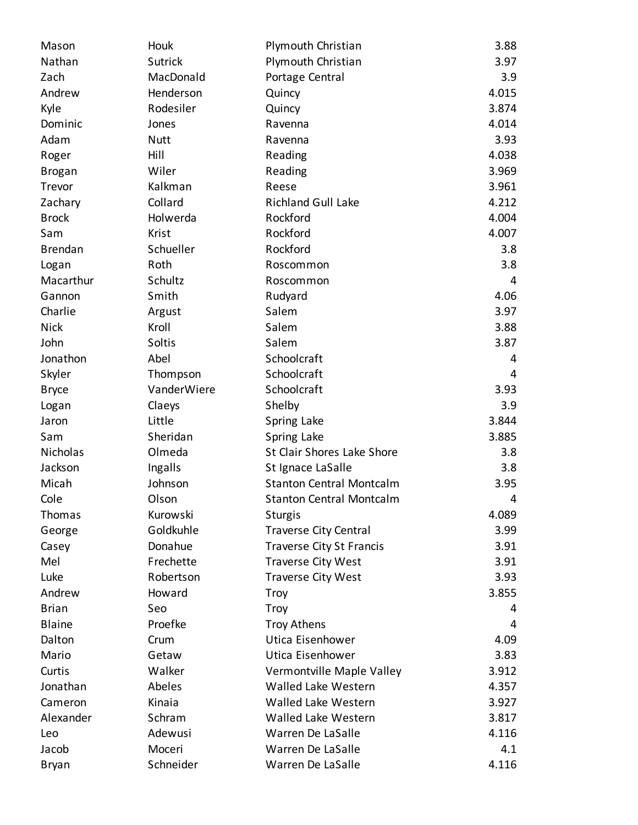| Mason          | Houk           | Plymouth Christian              | 3.88  |
|----------------|----------------|---------------------------------|-------|
| Nathan         | <b>Sutrick</b> | Plymouth Christian              | 3.97  |
| Zach           | MacDonald      | Portage Central                 | 3.9   |
| Andrew         | Henderson      | Quincy                          | 4.015 |
| Kyle           | Rodesiler      | Quincy                          | 3.874 |
| Dominic        | Jones          | Ravenna                         | 4.014 |
| Adam           | <b>Nutt</b>    | Ravenna                         | 3.93  |
| Roger          | Hill           | Reading                         | 4.038 |
| <b>Brogan</b>  | Wiler          | Reading                         | 3.969 |
| Trevor         | Kalkman        | Reese                           | 3.961 |
| Zachary        | Collard        | <b>Richland Gull Lake</b>       | 4.212 |
| <b>Brock</b>   | Holwerda       | Rockford                        | 4.004 |
| Sam            | Krist          | Rockford                        | 4.007 |
| <b>Brendan</b> | Schueller      | Rockford                        | 3.8   |
| Logan          | Roth           | Roscommon                       | 3.8   |
| Macarthur      | Schultz        | Roscommon                       | 4     |
| Gannon         | Smith          | Rudyard                         | 4.06  |
| Charlie        | Argust         | Salem                           | 3.97  |
| <b>Nick</b>    | Kroll          | Salem                           | 3.88  |
| John           | Soltis         | Salem                           | 3.87  |
| Jonathon       | Abel           | Schoolcraft                     | 4     |
| Skyler         | Thompson       | Schoolcraft                     | 4     |
| <b>Bryce</b>   | VanderWiere    | Schoolcraft                     | 3.93  |
| Logan          | Claeys         | Shelby                          | 3.9   |
| Jaron          | Little         | Spring Lake                     | 3.844 |
| Sam            | Sheridan       | Spring Lake                     | 3.885 |
| Nicholas       | Olmeda         | St Clair Shores Lake Shore      | 3.8   |
| Jackson        | Ingalls        | St Ignace LaSalle               | 3.8   |
| Micah          | Johnson        | <b>Stanton Central Montcalm</b> | 3.95  |
| Cole           | Olson          | <b>Stanton Central Montcalm</b> | 4     |
| Thomas         | Kurowski       | <b>Sturgis</b>                  | 4.089 |
| George         | Goldkuhle      | <b>Traverse City Central</b>    | 3.99  |
| Casey          | Donahue        | <b>Traverse City St Francis</b> | 3.91  |
| Mel            | Frechette      | <b>Traverse City West</b>       | 3.91  |
| Luke           | Robertson      | Traverse City West              | 3.93  |
| Andrew         | Howard         | <b>Troy</b>                     | 3.855 |
| <b>Brian</b>   | Seo            | Troy                            | 4     |
| <b>Blaine</b>  | Proefke        | <b>Troy Athens</b>              | 4     |
| Dalton         | Crum           | Utica Eisenhower                | 4.09  |
| Mario          | Getaw          | Utica Eisenhower                | 3.83  |
| Curtis         | Walker         | Vermontville Maple Valley       | 3.912 |
| Jonathan       | Abeles         | <b>Walled Lake Western</b>      | 4.357 |
| Cameron        | Kinaia         | <b>Walled Lake Western</b>      | 3.927 |
| Alexander      | Schram         | Walled Lake Western             | 3.817 |
| Leo            | Adewusi        | Warren De LaSalle               | 4.116 |
| Jacob          | Moceri         | Warren De LaSalle               | 4.1   |
| <b>Bryan</b>   | Schneider      | Warren De LaSalle               | 4.116 |